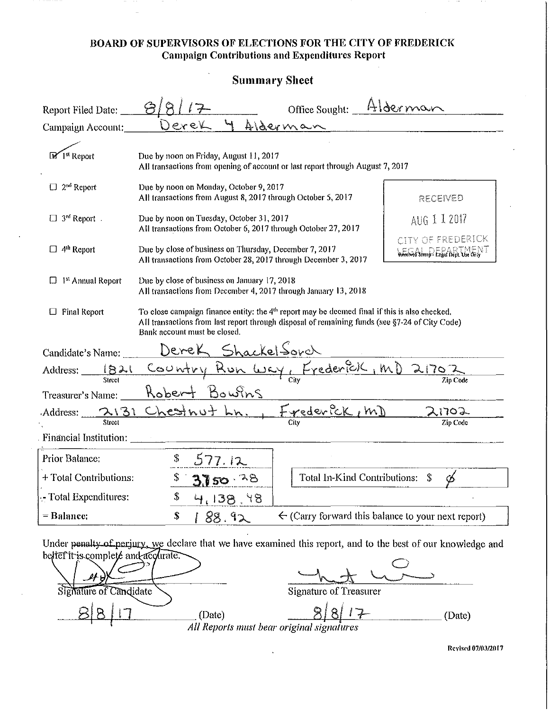#### **BOARD OF SUPERVISORS OF ELECTIONS FOR THE CITY OF FREDERICK Campaign Contributions and Expenditures Report**

 $\ddot{\phantom{a}}$ 

| <b>Summary Sheet</b>             |                                                                                                                                                                                                                                             |                                                                                                                           |              |
|----------------------------------|---------------------------------------------------------------------------------------------------------------------------------------------------------------------------------------------------------------------------------------------|---------------------------------------------------------------------------------------------------------------------------|--------------|
| Report Filed Date:               |                                                                                                                                                                                                                                             | Office Sought:                                                                                                            | Alderman     |
| Campaign Account:                | exek                                                                                                                                                                                                                                        | Alderman                                                                                                                  |              |
| <b>Execute</b> Report            | Due by noon on Friday, August 11, 2017<br>All transactions from opening of account or last report through August 7, 2017                                                                                                                    |                                                                                                                           |              |
| $\square$ 2 <sup>nd</sup> Report | Due by noon on Monday, October 9, 2017<br>All transactions from August 8, 2017 through October 5, 2017                                                                                                                                      |                                                                                                                           | RECENED      |
| $\Box$ 3 <sup>rd</sup> Report.   | Due by noon on Tuesday, October 31, 2017<br>All transactions from October 6, 2017 through October 27, 2017                                                                                                                                  |                                                                                                                           | AUG 1 1 2017 |
| $\Box$ 4 <sup>th</sup> Report    |                                                                                                                                                                                                                                             | Due by close of business on Thursday, December 7, 2017<br>All transactions from October 28, 2017 through December 3, 2017 |              |
| <sup>1st</sup> Annual Report     | Due by close of business on January 17, 2018<br>All transactions from December 4, 2017 through January 13, 2018                                                                                                                             |                                                                                                                           |              |
| <b>Final Report</b>              | To close campaign finance entity: the 4 <sup>th</sup> report may be deemed final if this is also checked.<br>All transactions from last report through disposal of remaining funds (see §7-24 of City Code)<br>Bank account must be closed. |                                                                                                                           |              |
| Candidate's Name:                | Derek ShackelSorch                                                                                                                                                                                                                          |                                                                                                                           |              |
|                                  | Address: 1821 Country Run Way, Frederick, MD                                                                                                                                                                                                |                                                                                                                           | 21702        |
| Treasurer's Name:                | Bowins<br>Kobert                                                                                                                                                                                                                            |                                                                                                                           | Zip Code     |
|                                  | Address: 2131 Chestnut Ln.                                                                                                                                                                                                                  | Frederick, mD                                                                                                             | 107          |
| Street<br>Financial Institution: |                                                                                                                                                                                                                                             |                                                                                                                           | Zin Code     |
| Prior Balance:                   |                                                                                                                                                                                                                                             |                                                                                                                           |              |
| + Total Contributions:           | \$<br>3750.78                                                                                                                                                                                                                               | Total In-Kind Contributions: \$                                                                                           |              |
|                                  |                                                                                                                                                                                                                                             |                                                                                                                           |              |
| - Total Expenditures:            | \$<br>97, 138, 18                                                                                                                                                                                                                           |                                                                                                                           |              |

bettet it is complete and acclirate. Signature of Candidate Signature of Treasurer  $8|8|17$  $\bar{\varnothing}$  $(Date)$ (Date)

All Reports must bear original signatures

 $\ddot{\phantom{1}}$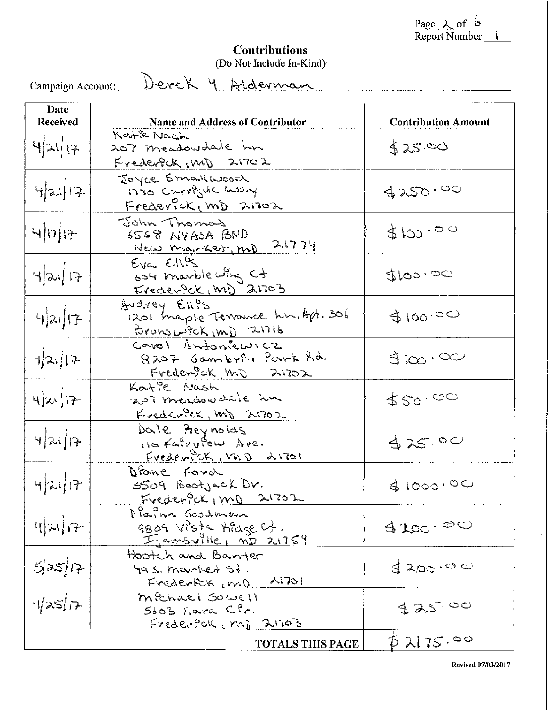Page 2 of 6<br>Report Number 1

## **Contributions**<br>(Do Not Include In-Kind)

Campaign Account: <u>DeveK 4 Alderman</u>

| Date<br><b>Received</b> | <b>Name and Address of Contributor</b>                                       | <b>Contribution Amount</b> |
|-------------------------|------------------------------------------------------------------------------|----------------------------|
| 421/17                  | Kate Nash<br>207 meadowdale hn<br>Frederfck (m) 21702                        | 525.00                     |
| 4 21 17                 | Joyce Smallwood<br>nio Carrigal way<br>Frederfok, mD 21702                   | 3250.00                    |
| $\frac{1}{2}$           | John Thomas<br>GUG AGAYN 8223<br>New market, md 21774                        | 5100.000                   |
| 4 21 17                 | Eva Ellis<br>604 marble wing Ct<br>Frederick (m) 21703                       | 5100.00                    |
| 4 x                     | Audrey Ell?S<br>1201 traple Terrance hn, Apt. 306<br>Brouv3L9ck(m) 2.1716    | 5100.00                    |
| 421 17                  | Cavol Antonicuscz<br>8207 Gambrill Park Rd<br>Fredewock <sub>1</sub> MO 2102 | $\sin \infty$              |
| $4 x $ 17               | Kartie Nash<br>207 meadowdale hm<br>Frederick, m) 21702                      | 550.000                    |
| 421/7                   | Dale Preynolds<br>Hofalvulew Ave.<br>Frederick, vnD 21701                    | 325.00                     |
| 42117                   | Diane Ford<br>5509 Bootjack Dr.<br>Frederfox, mp 21702                       | \$1000.00                  |
| $4)$ 21 17              | Dialon Goodman<br>9809 Vista Alage Ct.<br>IJamsville, mp 21754               | 4200.00                    |
| 5 25 17                 | Hootch and Banter<br>$49S.$ married $54.$<br>21701<br>Frederfck, mD          | 5200.00                    |
| 4/25/7                  | michael Sowell<br>5603 Kara Cir.<br>FrederPOK, M) 21703                      | 325.00                     |
|                         | <b>TOTALS THIS PAGE</b>                                                      | 52175.00                   |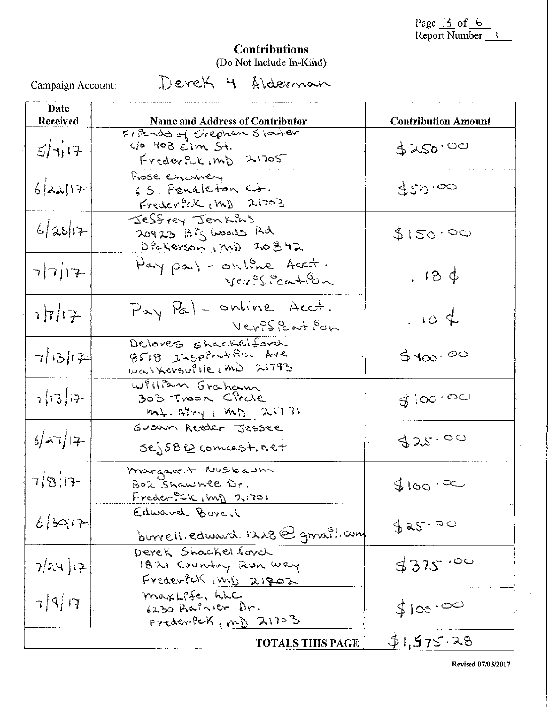Page 3 of 6<br>Report Number

# **Contributions**<br>(Do Not Include In-Kind)

 $\ddot{\bullet}$ 

| Campaign Account: | Derek 4 Alderman                                                                   |                            |
|-------------------|------------------------------------------------------------------------------------|----------------------------|
| Date<br>Received  | <b>Name and Address of Contributor</b>                                             | <b>Contribution Amount</b> |
| 54 17             | Friends of Stephen Starter<br>$the$ 408 $\epsilon$ im $St.$<br>Frederick, mp 21705 | 3250.00                    |
| 6 22 17           | Rose Chaney<br>65. Pendleton Ct.<br>$FrederSCK_1MD$ $21703$                        | 920.00                     |
| 6 26 7            | Jessvey Jenkins<br>20923 Big Woods Rd<br>Dickerson, MD 20842                       | \$150.00                   |
| 7717              | May pa) - online Acct.<br>Verification                                             | 184                        |
| $7\pi/17$         | Pay Pal - online Acct.<br>VerPSPeatfon                                             | .104                       |
| 7 13 17           | Deloves shackelford<br>8518 Inspiration Ave<br>Walkersuille, m) 21793              | 9400.00                    |
| 7 13 17           | William Graham<br>303 Troon Circle<br>mt. APry, MD 21771                           | 5100.00                    |
| 627 17            | Susan Reeder Jessee<br>$sej58Q$ comast.net                                         | 325.00                     |
| 7817              | margaret Nusbaum<br>BOR Shawnee Dr.<br>Freder PCK, mp 21701                        | $5100 \cdot 80$            |
| 6 30 7            | Edward Burell<br>$b$ urrell. edward 1228 $\bigcirc$ gmail.com                      | 325.00                     |
| 7/24)17           | Derek Shackelforch<br>1821 Country Run way<br>Frederful inni 21902                 | 3375.00                    |
| 7917              | maxLife, hLC<br>6230 Aninier Dr.<br>$FrederfcK, [m]$ 21703                         | \$100.00                   |
|                   | <b>TOTALS THIS PAGE</b>                                                            | 51,575.28                  |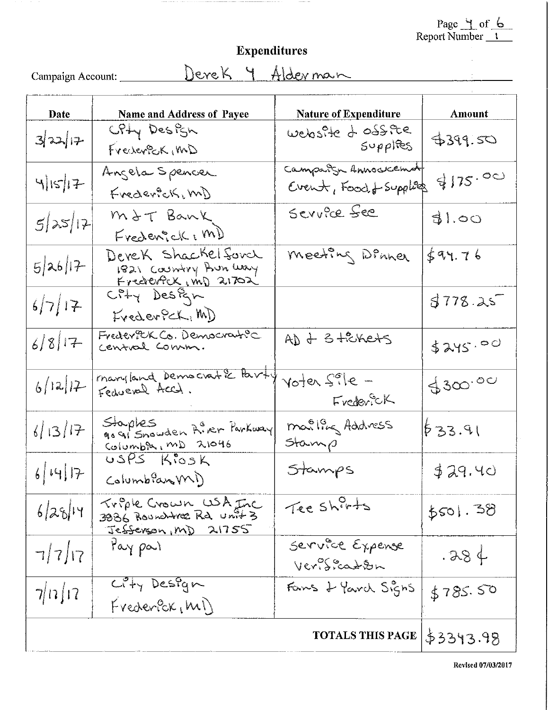Page 4 of 6<br>Report Number 1

 $\frac{1}{2}$ 

### Expenditures

Campaign Account: <u>Devek 4 Alderman</u>

| <b>Date</b>             | <b>Name and Address of Payee</b>                                        | <b>Nature of Expenditure</b>                     | <b>Amount</b>      |
|-------------------------|-------------------------------------------------------------------------|--------------------------------------------------|--------------------|
| 3 2 17                  | CPHY Design<br>Frechersck, MD                                           | website & ossie<br>$S\nu\rho\rho$ lies           | 4399.50            |
| 4 15 17                 | Angela Spencer<br>Frederick, m)                                         | Campaign Annockement<br>Event, Food, L- Supplies | 4175.00            |
| 5 x 12                  | MIT Bank<br>Frederick (M)                                               | Service See                                      | 31.00              |
| 5 26 17                 | Devek Shackelford<br>1821 Country Aun Way<br><u>Frederfok, mD</u> 21702 | meeting Dinner                                   | $\frac{1}{2}94.76$ |
| 6/7/17                  | ErederPCK, MD                                                           |                                                  | 3778.25            |
| 6/8 17                  | Frederick Co. Democratic                                                | AD + 3 tickets                                   | \$245.00           |
| 6/12/12                 | manyland Democratic Party                                               | Voter Sile -<br>Frederick                        | 4300.00            |
| 6/13/17                 | Staples<br>go gisnowden Airer Parkway<br>Columba, MD 21046              | mailles Address<br>Stamp                         | 633.91             |
| 6 44 7                  | $USPS$ Kiosk<br>Columbian (M)                                           | Stamps                                           | 329.40             |
| 6 28 14                 | Triple Crown USA Inc<br>Jefferson, MD 21755                             | Tee shirts                                       | 5501.38            |
| 7/7/17                  | May part                                                                | Service Expense<br>Verisianon                    | .384               |
| 7/17/17                 | $C^2 + y$ Design<br>FvederBr(M)                                         | Fans & Yard Signs                                | \$785.50           |
| <b>TOTALS THIS PAGE</b> |                                                                         |                                                  | \$3343.98          |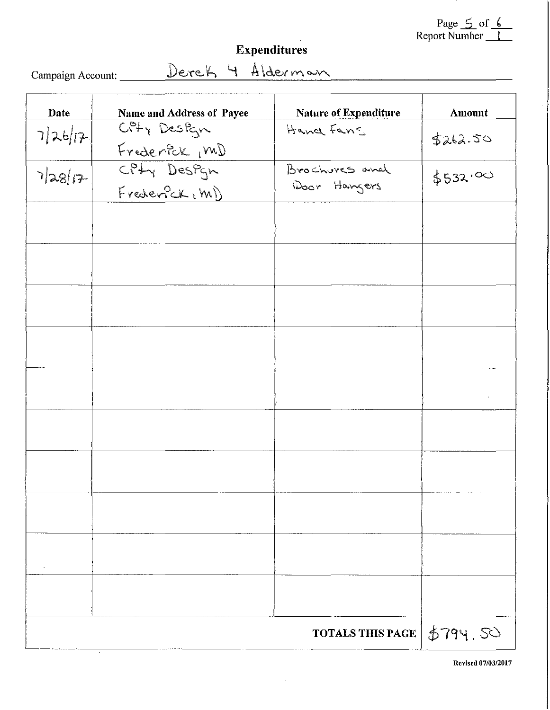Page <u>5</u> of <u>6</u><br>Report Number

### Expenditures

Campaign Account:

Derek 4 Alderman

| Date    | Name and Address of Payee                    | Nature of Expenditure   | <b>Amount</b> |
|---------|----------------------------------------------|-------------------------|---------------|
| 7 26 17 | $C^{\rho}f_{\gamma}$ Design<br>Frederick (MD | Hand Fans               | 5262.50       |
|         | CPHY Design<br>Frederick, M)                 | Brochures and           | \$532.00      |
|         |                                              |                         |               |
|         |                                              |                         |               |
|         |                                              |                         |               |
|         |                                              |                         |               |
|         |                                              |                         |               |
|         |                                              |                         |               |
|         |                                              |                         |               |
|         |                                              |                         |               |
|         |                                              |                         |               |
|         |                                              |                         |               |
|         |                                              | <b>TOTALS THIS PAGE</b> | 5794.50       |

 $\label{eq:2} \frac{d\mathbf{r}}{d\mathbf{r}} = \frac{1}{2\pi\epsilon_0^2} \mathbf{r}$